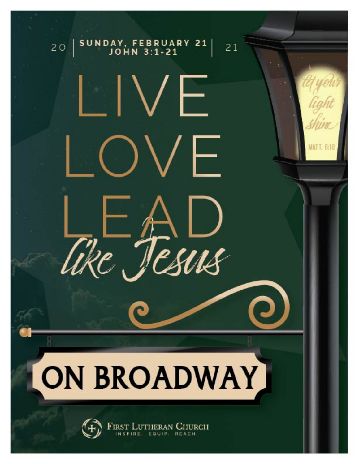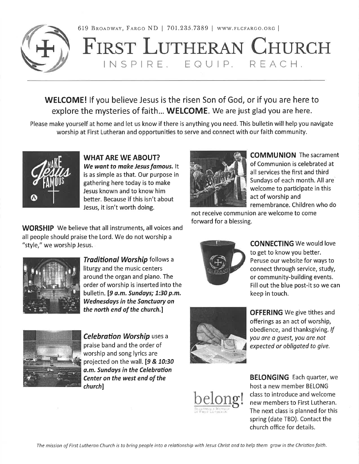

619 BROADWAY, FARGO ND | 701.235.7389 | WWW.FLCFARGO.ORG |

# FIRST LUTHERAN CHURCH INSPIRE. EQUIP. REACH.

**WELCOME!** If you believe Jesus is the risen Son of God, or if you are here to explore the mysteries of faith... WELCOME. We are just glad you are here.

Please make vourself at home and let us know if there is anything you need. This bulletin will help you navigate worship at First Lutheran and opportunities to serve and connect with our faith community.



**WHAT ARE WE ABOUT?** We want to make Jesus famous. It is as simple as that. Our purpose in gathering here today is to make Jesus known and to know him better. Because if this isn't about Jesus, it isn't worth doing.

**WORSHIP** We believe that all instruments, all voices and all people should praise the Lord. We do not worship a "style," we worship Jesus.



Traditional Worship follows a liturgy and the music centers around the organ and piano. The order of worship is inserted into the bulletin. [9 a.m. Sundays; 1:30 p.m. **Wednesdays in the Sanctuary on** the north end of the church.]



**Celebration Worship uses a** praise band and the order of worship and song lyrics are projected on the wall. [9 & 10:30 a.m. Sundays in the Celebration Center on the west end of the church]



**OFFERING** We give tithes and offerings as an act of worship, obedience, and thanksgiving. If you are a quest, you are not expected or obligated to give.



**BELONGING** Each quarter, we host a new member BELONG class to introduce and welcome new members to First Lutheran. The next class is planned for this spring (date TBD). Contact the church office for details.



**COMMUNION** The sacrament of Communion is celebrated at all services the first and third Sundays of each month. All are welcome to participate in this act of worship and remembrance. Children who do

not receive communion are welcome to come forward for a blessing.



**CONNECTING** We would love to get to know you better. Peruse our website for ways to connect through service, study, or community-building events. Fill out the blue post-it so we can keep in touch.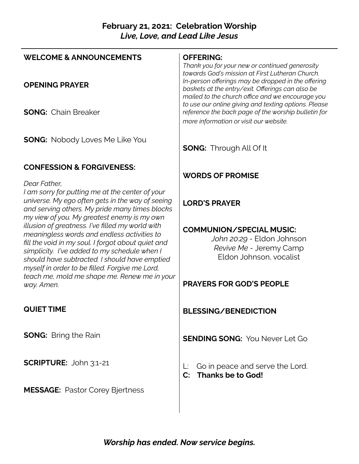### **February 21, 2021: Celebration Worship** *Live, Love, and Lead Like Jesus*

| <b>WELCOME &amp; ANNOUNCEMENTS</b>                                                                                                                                                                                                                                                                       | <b>OFFERING:</b><br>Thank you for your new or continued generosity<br>towards God's mission at First Lutheran Church.                                      |
|----------------------------------------------------------------------------------------------------------------------------------------------------------------------------------------------------------------------------------------------------------------------------------------------------------|------------------------------------------------------------------------------------------------------------------------------------------------------------|
| <b>OPENING PRAYER</b>                                                                                                                                                                                                                                                                                    | In-person offerings may be dropped in the offering<br>baskets at the entry/exit. Offerings can also be<br>mailed to the church office and we encourage you |
| <b>SONG: Chain Breaker</b>                                                                                                                                                                                                                                                                               | to use our online giving and texting options. Please<br>reference the back page of the worship bulletin for<br>more information or visit our website.      |
| <b>SONG:</b> Nobody Loves Me Like You                                                                                                                                                                                                                                                                    | <b>SONG:</b> Through All Of It                                                                                                                             |
| <b>CONFESSION &amp; FORGIVENESS:</b>                                                                                                                                                                                                                                                                     |                                                                                                                                                            |
| Dear Father,                                                                                                                                                                                                                                                                                             | <b>WORDS OF PROMISE</b>                                                                                                                                    |
| I am sorry for putting me at the center of your<br>universe. My ego often gets in the way of seeing<br>and serving others. My pride many times blocks<br>my view of you. My greatest enemy is my own                                                                                                     | <b>LORD'S PRAYER</b>                                                                                                                                       |
| illusion of greatness. I've filled my world with<br>meaningless words and endless activities to<br>fill the void in my soul. I forgot about quiet and<br>simplicity. I've added to my schedule when I<br>should have subtracted. I should have emptied<br>myself in order to be filled. Forgive me Lord, | <b>COMMUNION/SPECIAL MUSIC:</b><br>John 20:29 - Eldon Johnson<br>Revive Me - Jeremy Camp<br>Eldon Johnson, vocalist                                        |
| teach me, mold me shape me. Renew me in your<br>way. Amen.                                                                                                                                                                                                                                               | <b>PRAYERS FOR GOD'S PEOPLE</b>                                                                                                                            |
| <b>QUIET TIME</b>                                                                                                                                                                                                                                                                                        | <b>BLESSING/BENEDICTION</b>                                                                                                                                |
| <b>SONG:</b> Bring the Rain                                                                                                                                                                                                                                                                              | <b>SENDING SONG: You Never Let Go</b>                                                                                                                      |
| <b>SCRIPTURE: John 3:1-21</b>                                                                                                                                                                                                                                                                            | Go in peace and serve the Lord.<br><b>Thanks be to God!</b><br>$\mathbf{C}$ :                                                                              |
| <b>MESSAGE: Pastor Corey Bjertness</b>                                                                                                                                                                                                                                                                   |                                                                                                                                                            |
|                                                                                                                                                                                                                                                                                                          |                                                                                                                                                            |

*Worship has ended. Now service begins.*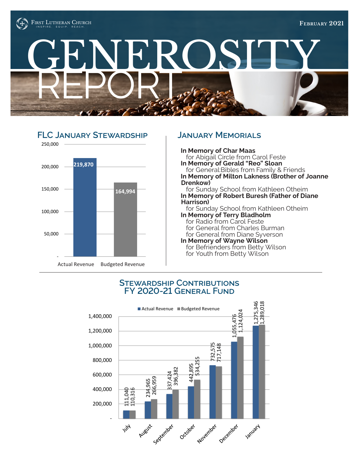





**In Memory of Char Maas** for Abigail Circle from Carol Feste **In Memory of Gerald "Reo" Sloan** for General:Bibles from Family & Friends **In Memory of Milton Lakness (Brother of Joanne** 

**Drenkow)** for Sunday School from Kathleen Otheim **In Memory of Robert Buresh (Father of Diane Harrison)**

for Sunday School from Kathleen Otheim **In Memory of Terry Bladholm** for Radio from Carol Feste for General from Charles Burman for General from Diane Syverson

**In Memory of Wayne Wilson** for Befrienders from Betty Wilson for Youth from Betty Wilson

### **Stewardship Contributions FY 2020-21 General Fund**

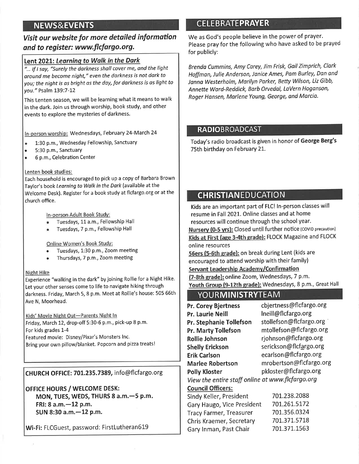### **NEWS&EVENTS**

### Visit our website for more detailed information and to register: www.flcfargo.org.

### Lent 2021: Learning to Walk in the Dark

"... If I say, "Surely the darkness shall cover me, and the liaht around me become night," even the darkness is not dark to you: the night is as bright as the day, for darkness is as light to you." Psalm 139:7-12

This Lenten season, we will be learning what it means to walk in the dark. Join us through worship, book study, and other events to explore the mysteries of darkness.

In-person worship: Wednesdays, February 24-March 24

- 1:30 p.m., Wednesday Fellowship, Sanctuary  $\bullet$
- 5:30 p.m., Sanctuary
- 6 p.m., Celebration Center

#### Lenten book studies:

Each household is encouraged to pick up a copy of Barbara Brown Taylor's book Learning to Walk in the Dark (available at the Welcome Desk). Register for a book study at flcfargo.org or at the church office.

#### In-person Adult Book Study:

- Tuesdays, 11 a.m., Fellowship Hall
- Tuesdays, 7 p.m., Fellowship Hall

### Online Women's Book Study:

- Tuesdays, 1:30 p.m., Zoom meeting
- Thursdays, 7 p.m., Zoom meeting

### Night Hike

Experience "walking in the dark" by joining Rollie for a Night Hike. Let your other senses come to life to navigate hiking through darkness. Friday, March 5, 8 p.m. Meet at Rollie's house: 505 66th Ave N, Moorhead.

Kids' Movie Night Out-Parents Night In Friday, March 12, drop-off 5:30-6 p.m., pick-up 8 p.m. For kids grades 1-4 Featured movie: Disney/Pixar's Monsters Inc. Bring your own pillow/blanket. Popcorn and pizza treats!

CHURCH OFFICE: 701.235.7389, info@flcfargo.org

OFFICE HOURS / WELCOME DESK: MON, TUES, WEDS, THURS 8 a.m. - 5 p.m. FRI: 8 a.m. - 12 p.m. SUN 8:30 a.m. - 12 p.m.

Wi-Fi: FLCGuest, password: FirstLutheran619

### **CELEBRATEPRAYER**

We as God's people believe in the power of prayer. Please pray for the following who have asked to be prayed for publicly:

Brenda Cummins, Amy Carey, Jim Frisk, Gail Zimprich, Clark Hoffman, Julie Anderson, Janice Ames, Pam Burley, Dan and Janna Westerholm, Marilyn Parker, Betty Wilson, Liz Gibb, Annette Ward-Reddick, Barb Orvedal, LaVern Hoganson, Roger Hansen, Marlene Young, George, and Marcia.

### **RADIOBROADCAST**

Today's radio broadcast is given in honor of George Berg's 75th birthday on February 21.

### **CHRISTIANEDUCATION**

Kids are an important part of FLC! In-person classes will resume in Fall 2021. Online classes and at home resources will continue through the school year. Nursery (0-5 yrs): Closed until further notice (COVID precaution) Kids at First (age 3-4th grade): FLOCK Magazine and FLOCK online resources

56ers (5-6th grade): on break during Lent (kids are encouraged to attend worship with their family) Servant Leadership Academy/Confirmation

(7-8th grade): online Zoom, Wednesdays, 7 p.m. Youth Group (9-12th grade): Wednesdays, 8 p.m., Great Hall

### **YOURMINISTRYTEAM**

cbjertness@flcfargo.org Pr. Corey Bjertness Ineill@flcfargo.org Pr. Laurie Neill Pr. Stephanie Tollefson stollefson@flcfargo.org mtollefson@flcfargo.org **Pr. Marty Tollefson** rjohnson@flcfargo.org Rollie Johnson serickson@flcfargo.org **Shelly Erickson** ecarlson@flcfargo.org **Erik Carlson** mrobertson@flcfargo.org **Marlee Robertson Polly Kloster** pkloster@flcfargo.org View the entire staff online at www.flcfargo.org **Council Officers:** 701.238.2088 Sindy Keller, President Gary Haugo, Vice President 701,261.5172 701.356.0324 **Tracy Farmer, Treasurer** 701.371.5718 Chris Kraemer, Secretary 701.371.1563 Gary Inman, Past Chair